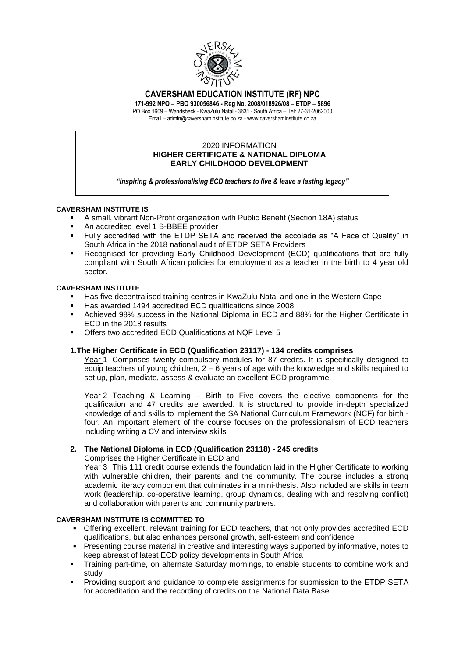

# **CAVERSHAM EDUCATION INSTITUTE (RF) NPC**

**171-992 NPO – PBO 930056846 - Reg No. 2008/018926/08 – ETDP – 5896** PO Box 1609 – Wandsbeck - KwaZulu Natal - 3631 - South Africa – Tel: 27-31-2062000

Email – admin@cavershaminstitute.co.za - www.cavershaminstitute.co.za

#### 2020 INFORMATION **HIGHER CERTIFICATE & NATIONAL DIPLOMA EARLY CHILDHOOD DEVELOPMENT**

*"Inspiring & professionalising ECD teachers to live & leave a lasting legacy"*

# **CAVERSHAM INSTITUTE IS**

- A small, vibrant Non-Profit organization with Public Benefit (Section 18A) status
- An accredited level 1 B-BBEE provider
- Fully accredited with the ETDP SETA and received the accolade as "A Face of Quality" in South Africa in the 2018 national audit of ETDP SETA Providers
- Recognised for providing Early Childhood Development (ECD) qualifications that are fully compliant with South African policies for employment as a teacher in the birth to 4 year old sector.

# **CAVERSHAM INSTITUTE**

- Has five decentralised training centres in KwaZulu Natal and one in the Western Cape
- Has awarded 1494 accredited ECD qualifications since 2008
- Achieved 98% success in the National Diploma in ECD and 88% for the Higher Certificate in ECD in the 2018 results
- Offers two accredited ECD Qualifications at NQF Level 5

# **1.The Higher Certificate in ECD (Qualification 23117) - 134 credits comprises**

Year 1 Comprises twenty compulsory modules for 87 credits. It is specifically designed to equip teachers of young children, 2 – 6 years of age with the knowledge and skills required to set up, plan, mediate, assess & evaluate an excellent ECD programme.

Year 2 Teaching & Learning – Birth to Five covers the elective components for the qualification and 47 credits are awarded. It is structured to provide in-depth specialized knowledge of and skills to implement the SA National Curriculum Framework (NCF) for birth four. An important element of the course focuses on the professionalism of ECD teachers including writing a CV and interview skills

# **2. The National Diploma in ECD (Qualification 23118) - 245 credits**

#### Comprises the Higher Certificate in ECD and

Year 3 This 111 credit course extends the foundation laid in the Higher Certificate to working with vulnerable children, their parents and the community. The course includes a strong academic literacy component that culminates in a mini-thesis. Also included are skills in team work (leadership. co-operative learning, group dynamics, dealing with and resolving conflict) and collaboration with parents and community partners.

#### **CAVERSHAM INSTITUTE IS COMMITTED TO**

- Offering excellent, relevant training for ECD teachers, that not only provides accredited ECD qualifications, but also enhances personal growth, self-esteem and confidence
- **Presenting course material in creative and interesting ways supported by informative, notes to** keep abreast of latest ECD policy developments in South Africa
- Training part-time, on alternate Saturday mornings, to enable students to combine work and study
- **Providing support and guidance to complete assignments for submission to the ETDP SETA** for accreditation and the recording of credits on the National Data Base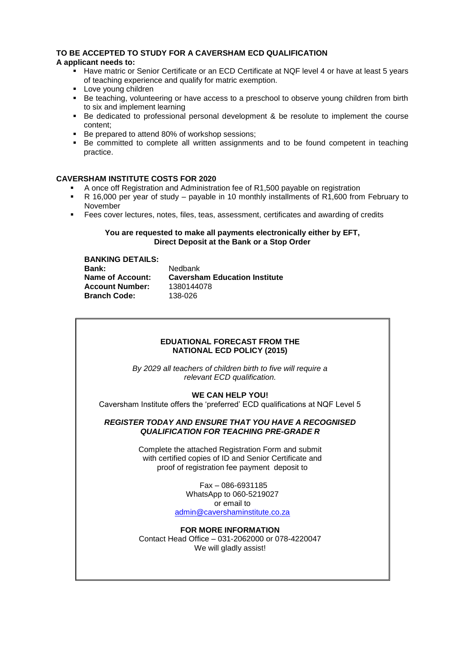# **TO BE ACCEPTED TO STUDY FOR A CAVERSHAM ECD QUALIFICATION**

# **A applicant needs to:**

- Have matric or Senior Certificate or an ECD Certificate at NQF level 4 or have at least 5 years of teaching experience and qualify for matric exemption.
- **Love young children**
- Be teaching, volunteering or have access to a preschool to observe young children from birth to six and implement learning
- Be dedicated to professional personal development & be resolute to implement the course content;
- Be prepared to attend 80% of workshop sessions;
- Be committed to complete all written assignments and to be found competent in teaching practice.

#### **CAVERSHAM INSTITUTE COSTS FOR 2020**

- A once off Registration and Administration fee of R1,500 payable on registration
- R 16,000 per year of study payable in 10 monthly installments of  $R1,600$  from February to November
- Fees cover lectures, notes, files, teas, assessment, certificates and awarding of credits

#### **You are requested to make all payments electronically either by EFT, Direct Deposit at the Bank or a Stop Order**

| <b>BANKING DETAILS:</b> |                                      |
|-------------------------|--------------------------------------|
| <b>Bank:</b>            | Nedbank                              |
| Name of Account:        | <b>Caversham Education Institute</b> |
| <b>Account Number:</b>  | 1380144078                           |
| <b>Branch Code:</b>     | 138-026                              |

## **EDUATIONAL FORECAST FROM THE NATIONAL ECD POLICY (2015)**

*By 2029 all teachers of children birth to five will require a relevant ECD qualification.* 

#### **WE CAN HELP YOU!**

Caversham Institute offers the 'preferred' ECD qualifications at NQF Level 5

#### *REGISTER TODAY AND ENSURE THAT YOU HAVE A RECOGNISED QUALIFICATION FOR TEACHING PRE-GRADE R*

Complete the attached Registration Form and submit with certified copies of ID and Senior Certificate and proof of registration fee payment deposit to

> Fax – 086-6931185 WhatsApp to 060-5219027 or email to [admin@cavershaminstitute.co.za](mailto:admin@cavershaminstitute.co.za)

**FOR MORE INFORMATION** Contact Head Office – 031-2062000 or 078-4220047 We will gladly assist!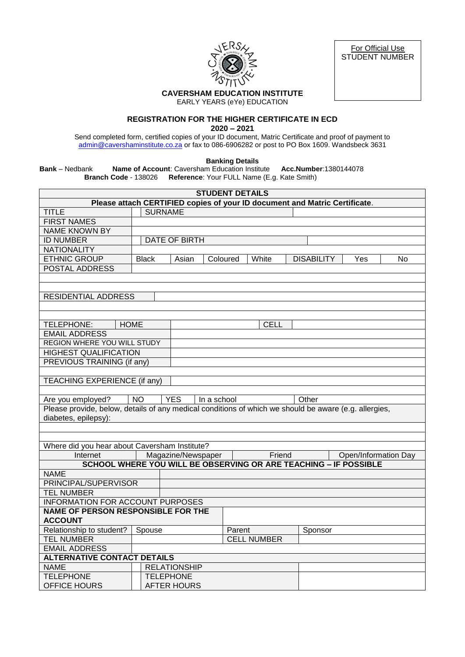

For Official Use STUDENT NUMBER

# **CAVERSHAM EDUCATION INSTITUTE**

EARLY YEARS (eYe) EDUCATION

# **REGISTRATION FOR THE HIGHER CERTIFICATE IN ECD**

**2020 – 2021**

Send completed form, certified copies of your ID document, Matric Certificate and proof of payment to [admin@cavershaminstitute.co.za](mailto:admin@cavershaminstitute.co.za) or fax to 086-6906282 or post to PO Box 1609. Wandsbeck 3631

**Banking Details**

**Bank** – Nedbank **Name of Account**: Caversham Education Institute **Acc.Number**:1380144078 **Branch Code** - 138026 **Reference**: Your FULL Name (E.g. Kate Smith)

|                                                                                                       |              |                                                                  | <b>STUDENT DETAILS</b> |                    |                   |     |                      |  |  |  |
|-------------------------------------------------------------------------------------------------------|--------------|------------------------------------------------------------------|------------------------|--------------------|-------------------|-----|----------------------|--|--|--|
| Please attach CERTIFIED copies of your ID document and Matric Certificate.                            |              |                                                                  |                        |                    |                   |     |                      |  |  |  |
| <b>TITLE</b>                                                                                          |              | <b>SURNAME</b>                                                   |                        |                    |                   |     |                      |  |  |  |
| <b>FIRST NAMES</b>                                                                                    |              |                                                                  |                        |                    |                   |     |                      |  |  |  |
| <b>NAME KNOWN BY</b>                                                                                  |              |                                                                  |                        |                    |                   |     |                      |  |  |  |
| <b>ID NUMBER</b>                                                                                      |              | DATE OF BIRTH                                                    |                        |                    |                   |     |                      |  |  |  |
| <b>NATIONALITY</b>                                                                                    |              |                                                                  |                        |                    |                   |     |                      |  |  |  |
| <b>ETHNIC GROUP</b>                                                                                   | <b>Black</b> | Asian                                                            | Coloured               | White              | <b>DISABILITY</b> | Yes | No                   |  |  |  |
| POSTAL ADDRESS                                                                                        |              |                                                                  |                        |                    |                   |     |                      |  |  |  |
|                                                                                                       |              |                                                                  |                        |                    |                   |     |                      |  |  |  |
|                                                                                                       |              |                                                                  |                        |                    |                   |     |                      |  |  |  |
| <b>RESIDENTIAL ADDRESS</b>                                                                            |              |                                                                  |                        |                    |                   |     |                      |  |  |  |
|                                                                                                       |              |                                                                  |                        |                    |                   |     |                      |  |  |  |
|                                                                                                       |              |                                                                  |                        |                    |                   |     |                      |  |  |  |
| TELEPHONE:<br><b>HOME</b>                                                                             |              |                                                                  |                        | <b>CELL</b>        |                   |     |                      |  |  |  |
| <b>EMAIL ADDRESS</b>                                                                                  |              |                                                                  |                        |                    |                   |     |                      |  |  |  |
| <b>REGION WHERE YOU WILL STUDY</b>                                                                    |              |                                                                  |                        |                    |                   |     |                      |  |  |  |
| <b>HIGHEST QUALIFICATION</b>                                                                          |              |                                                                  |                        |                    |                   |     |                      |  |  |  |
| PREVIOUS TRAINING (if any)                                                                            |              |                                                                  |                        |                    |                   |     |                      |  |  |  |
|                                                                                                       |              |                                                                  |                        |                    |                   |     |                      |  |  |  |
| TEACHING EXPERIENCE (if any)                                                                          |              |                                                                  |                        |                    |                   |     |                      |  |  |  |
|                                                                                                       |              |                                                                  |                        |                    |                   |     |                      |  |  |  |
|                                                                                                       |              |                                                                  |                        |                    |                   |     |                      |  |  |  |
| Are you employed?                                                                                     | <b>NO</b>    | <b>YES</b>                                                       | In a school            |                    | Other             |     |                      |  |  |  |
| Please provide, below, details of any medical conditions of which we should be aware (e.g. allergies, |              |                                                                  |                        |                    |                   |     |                      |  |  |  |
| diabetes, epilepsy):                                                                                  |              |                                                                  |                        |                    |                   |     |                      |  |  |  |
|                                                                                                       |              |                                                                  |                        |                    |                   |     |                      |  |  |  |
|                                                                                                       |              |                                                                  |                        |                    |                   |     |                      |  |  |  |
| Where did you hear about Caversham Institute?                                                         |              |                                                                  |                        |                    |                   |     |                      |  |  |  |
| Internet                                                                                              |              | Magazine/Newspaper                                               |                        | Friend             |                   |     | Open/Information Day |  |  |  |
|                                                                                                       |              | SCHOOL WHERE YOU WILL BE OBSERVING OR ARE TEACHING - IF POSSIBLE |                        |                    |                   |     |                      |  |  |  |
| <b>NAME</b>                                                                                           |              |                                                                  |                        |                    |                   |     |                      |  |  |  |
| PRINCIPAL/SUPERVISOR                                                                                  |              |                                                                  |                        |                    |                   |     |                      |  |  |  |
| <b>TEL NUMBER</b>                                                                                     |              |                                                                  |                        |                    |                   |     |                      |  |  |  |
| <b>INFORMATION FOR ACCOUNT PURPOSES</b>                                                               |              |                                                                  |                        |                    |                   |     |                      |  |  |  |
| <b>NAME OF PERSON RESPONSIBLE FOR THE</b>                                                             |              |                                                                  |                        |                    |                   |     |                      |  |  |  |
| <b>ACCOUNT</b>                                                                                        |              |                                                                  |                        |                    |                   |     |                      |  |  |  |
| Relationship to student?                                                                              | Spouse       |                                                                  | Parent                 |                    | Sponsor           |     |                      |  |  |  |
| <b>TEL NUMBER</b>                                                                                     |              |                                                                  |                        | <b>CELL NUMBER</b> |                   |     |                      |  |  |  |
| <b>EMAIL ADDRESS</b>                                                                                  |              |                                                                  |                        |                    |                   |     |                      |  |  |  |
| <b>ALTERNATIVE CONTACT DETAILS</b>                                                                    |              |                                                                  |                        |                    |                   |     |                      |  |  |  |
| <b>NAME</b>                                                                                           |              | <b>RELATIONSHIP</b>                                              |                        |                    |                   |     |                      |  |  |  |
| <b>TELEPHONE</b>                                                                                      |              | <b>TELEPHONE</b>                                                 |                        |                    |                   |     |                      |  |  |  |